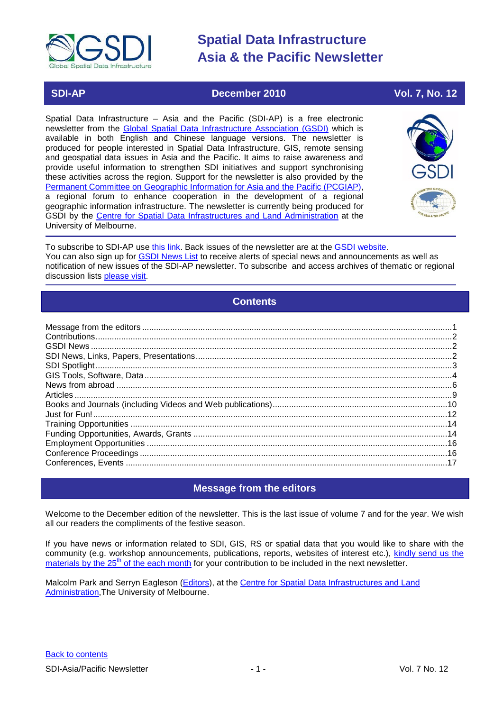

# **SDI-AP CONSUMING THE CONSUMING CONSUMING THE CONSUMING CONSUMING THE CONSUMING CONSUMING THE CONSUMING CONSUMING TO A 22 YO F. 7, No. 12**

Spatial Data Infrastructure – Asia and the Pacific (SDI-AP) is a free electronic newsletter from the [Global Spatial Data Infrastructure Association \(GSDI\)](http://www.gsdi.org/) which is available in both English and Chinese language versions. The newsletter is produced for people interested in Spatial Data Infrastructure, GIS, remote sensing and geospatial data issues in Asia and the Pacific. It aims to raise awareness and provide useful information to strengthen SDI initiatives and support synchronising these activities across the region. Support for the newsletter is also provided by the [Permanent Committee on Geographic Information for Asia and the Pacific \(PCGIAP\)](http://www.pcgiap.org/), a regional forum to enhance cooperation in the development of a regional geographic information infrastructure. The newsletter is currently being produced for GSDI by the [Centre for Spatial Data Infrastructures and Land Administration](http://www.csdila.unimelb.edu.au/) at the University of Melbourne.



To subscribe to SDI-AP use [this link.](http://www.gsdi.org/newslist/gsdisubscribe.asp) Back issues of the newsletter are at the [GSDI website.](http://www.gsdi.org/newsletters.asp) You can also sign up for **GSDI News List** to receive alerts of special news and announcements as well as notification of new issues of the SDI-AP newsletter. To subscribe and access archives of thematic or regional discussion lists [please visit.](http://www.gsdi.org/discussionlists.asp)

# **Contents**

<span id="page-0-0"></span>

# **Message from the editors**

<span id="page-0-1"></span>Welcome to the December edition of the newsletter. This is the last issue of volume 7 and for the year. We wish all our readers the compliments of the festive season.

If you have news or information related to SDI, GIS, RS or spatial data that you would like to share with the community (e.g. workshop announcements, publications, reports, websites of interest etc.), [kindly send us](mailto:Editor.SDIAP@gmail.com) the materials by the  $25<sup>th</sup>$  of the each month for your contribution to be included in the next newsletter.

Malcolm Park and Serryn Eagleson [\(Editors\)](mailto:Editor.SDIAP@gmail.com), at the [Centre for Spatial Data Infrastructures and Land](http://www.csdila.unimelb.edu.au/)  [Administration,](http://www.csdila.unimelb.edu.au/)The University of Melbourne.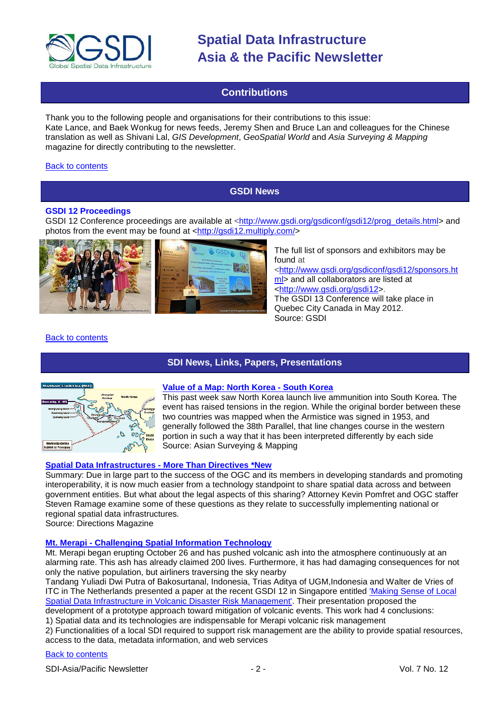

# **Contributions**

<span id="page-1-0"></span>Thank you to the following people and organisations for their contributions to this issue: Kate Lance, and Baek Wonkug for news feeds, Jeremy Shen and Bruce Lan and colleagues for the Chinese translation as well as Shivani Lal, *GIS Development*, *GeoSpatial World* and *Asia Surveying & Mapping* magazine for directly contributing to the newsletter.

#### <span id="page-1-1"></span>[Back to contents](#page-0-0)

# **GSDI News**

### **GSDI 12 Proceedings**

GSDI 12 Conference proceedings are available at [<http://www.gsdi.org/gsdiconf/gsdi12/prog\\_details.html>](http://www.gsdi.org/gsdiconf/gsdi12/prog_details.html) and photos from the event may be found at [<http://gsdi12.multiply.com/>](http://gsdi12.multiply.com/)



The full list of sponsors and exhibitors may be found at [<http://www.gsdi.org/gsdiconf/gsdi12/sponsors.ht](http://www.gsdi.org/gsdiconf/gsdi12/sponsors.html) [ml>](http://www.gsdi.org/gsdiconf/gsdi12/sponsors.html) and all collaborators are listed at [<http://www.gsdi.org/gsdi12>](http://www.gsdi.org/gsdi12).

The GSDI 13 Conference will take place in Quebec City Canada in May 2012. Source: GSDI

### <span id="page-1-2"></span>[Back to contents](#page-0-0)

# **SDI News, Links, Papers, Presentations**



# **[Value of a Map: North Korea -](http://asmmag.com/features/value-of-a-map-north-korea-south-korea) South Korea**

This past week saw North Korea launch live ammunition into South Korea. The event has raised tensions in the region. While the original border between these two countries was mapped when the Armistice was signed in 1953, and generally followed the [38th Parallel,](http://en.wikipedia.org/wiki/Korean_War) that line changes course in the western portion in such a way that it has been interpreted differently by each side Source: Asian Surveying & Mapping

# **[Spatial Data Infrastructures -](http://www.directionsmag.com/articles/spatial-data-infrastructures-more-than-directives/142537) More Than Directives \*New**

Summary: Due in large part to the success of the OGC and its members in developing standards and promoting interoperability, it is now much easier from a technology standpoint to share spatial data across and between government entities. But what about the legal aspects of this sharing? Attorney Kevin Pomfret and OGC staffer Steven Ramage examine some of these questions as they relate to successfully implementing national or regional spatial data infrastructures*.*

Source: Directions Magazine

# **Mt. Merapi - [Challenging Spatial Information Technology](http://www.asmmag.com/features/mt-merapi-challenging-spatial-information-technology)**

Mt. Merapi began erupting October 26 and has pushed volcanic ash into the atmosphere continuously at an alarming rate. This ash has already claimed 200 lives. Furthermore, it has had damaging consequences for not only the native population, but airliners traversing the sky nearby

Tandang Yuliadi Dwi Putra of Bakosurtanal, Indonesia, Trias Aditya of UGM,Indonesia and Walter de Vries of ITC in The Netherlands presented a paper at the recent GSDI 12 in Singapore entitled 'Making Sense of Local [Spatial Data Infrastructure in Volcanic Disaster Risk Management'.](http://www.google.com/url?sa=t&source=web&cd=2&ved=0CB0QFjAB&url=http%3A%2F%2Fwww.gsdi.org%2Fgsdiconf%2Fgsdi12%2Fslides%2F3.1a.pdf&ei=eiTlTPjsGsHDswaj_MXECw&usg=AFQjCNEm6SeEwG6TGQxLZ8s1yd_NGMDf_g&sig2=NPsbsEHbd2e8L0lVNa2i-g) Their presentation proposed the

development of a prototype approach toward mitigation of volcanic events. This work had 4 conclusions: 1) Spatial data and its technologies are indispensable for Merapi volcanic risk management

2) Functionalities of a local SDI required to support risk management are the ability to provide spatial resources, access to the data, metadata information, and web services

# [Back to contents](#page-0-0)

SDI-Asia/Pacific Newsletter  $\sim$  2 - 2 - Vol. 7 No. 12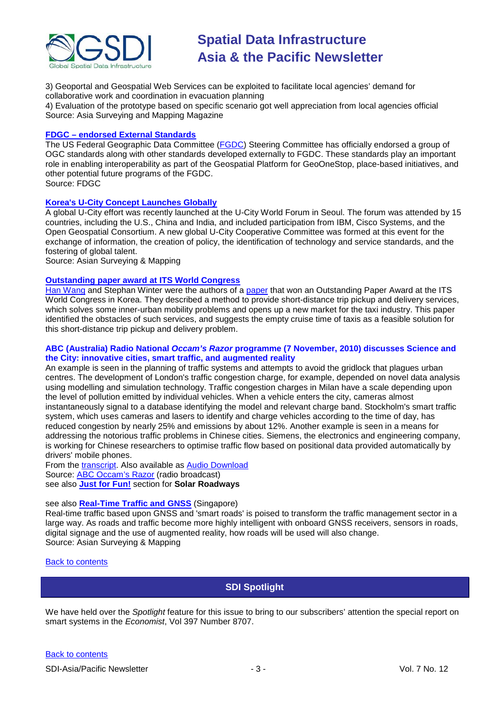

3) Geoportal and Geospatial Web Services can be exploited to facilitate local agencies' demand for collaborative work and coordination in evacuation planning

4) Evaluation of the prototype based on specific scenario got well appreciation from local agencies official Source: Asia Surveying and Mapping Magazine

# **FDGC – [endorsed External Standards](http://www.fgdc.gov/standards/fgdc-endorsed-external-standards/index_html)**

The US Federal Geographic Data Committee [\(FGDC\)](http://www.fgdc.gov/) Steering Committee has officially endorsed a group of OGC standards along with other standards developed externally to FGDC. These standards play an important role in enabling interoperability as part of the Geospatial Platform for GeoOneStop, place-based initiatives, and other potential future programs of the FGDC. Source: FDGC

**[Korea's U-City Concept Launches Globally](http://asmmag.com/news/korea-s-u-city-concept-launches-globally)**

A global U-City effort was recently launched at the U-City World Forum in Seoul. The forum was attended by 15 countries, including the U.S., China and India, and included participation from IBM, Cisco Systems, and the Open Geospatial Consortium. A new global U-City Cooperative Committee was formed at this event for the exchange of information, the creation of policy, the identification of technology and service standards, and the fostering of global talent.

Source: Asian Surveying & Mapping

# **[Outstanding paper award at ITS World Congress](https://intranet.eng.unimelb.edu.au/e-bulletin/index)**

[Han Wang](http://www.boommap.com/uploads/2/5/6/4/2564148/utilising_taxi_empty_cruise_time_to_solve_the_short_distance_trip_problem.pdf) and Stephan Winter were the authors of a [paper](http://www.geom.unimelb.edu.au/winter/pubs/wang10utilizing.pdf) that won an Outstanding Paper Award at the ITS World Congress in Korea. They described a method to provide short-distance trip pickup and delivery services, which solves some inner-urban mobility problems and opens up a new market for the taxi industry. This paper identified the obstacles of such services, and suggests the empty cruise time of taxis as a feasible solution for this short-distance trip pickup and delivery problem.

### **ABC (Australia) Radio National** *Occam's Razor* **programme (7 November, 2010) discusses Science and the City: innovative cities, smart traffic, and augmented reality**

An example is seen in the planning of traffic systems and attempts to avoid the gridlock that plagues urban centres. The development of London's traffic congestion charge, for example, depended on novel data analysis using modelling and simulation technology. Traffic congestion charges in Milan have a scale depending upon the level of pollution emitted by individual vehicles. When a vehicle enters the city, cameras almost instantaneously signal to a database identifying the model and relevant charge band. Stockholm's smart traffic system, which uses cameras and lasers to identify and charge vehicles according to the time of day, has reduced congestion by nearly 25% and emissions by about 12%. Another example is seen in a means for addressing the notorious traffic problems in Chinese cities. Siemens, the electronics and engineering company, is working for Chinese researchers to optimise traffic flow based on positional data provided automatically by drivers' mobile phones.

From the [transcript.](http://www.abc.net.au/rn/ockhamsrazor/stories/2010/3057355.htm#transcript) Also available as [Audio Download](http://mpegmedia.abc.net.au/rn/podcast/2010/11/orr_20101107.mp3) Source: [ABC Occam's Razor](http://www.abc.net.au/rn/ockhamsrazor/stories/2010/3057355.htm) (radio broadcast) see also **Just for Fun!** section for **Solar Roadways**

# see also **[Real-Time Traffic and GNSS](http://asmmag.com/news/real-time-traffic-and-gnss)** (Singapore)

Real-time traffic based upon GNSS and 'smart roads' is poised to transform the traffic management sector in a large way. As roads and traffic become more highly intelligent with onboard GNSS receivers, sensors in roads, digital signage and the use of augmented reality, how roads will be used will also change. Source: Asian Surveying & Mapping

### <span id="page-2-0"></span>[Back to contents](#page-0-0)

# **SDI Spotlight**

We have held over the *Spotlight* feature for this issue to bring to our subscribers' attention the special report on smart systems in the *Economist*, Vol 397 Number 8707.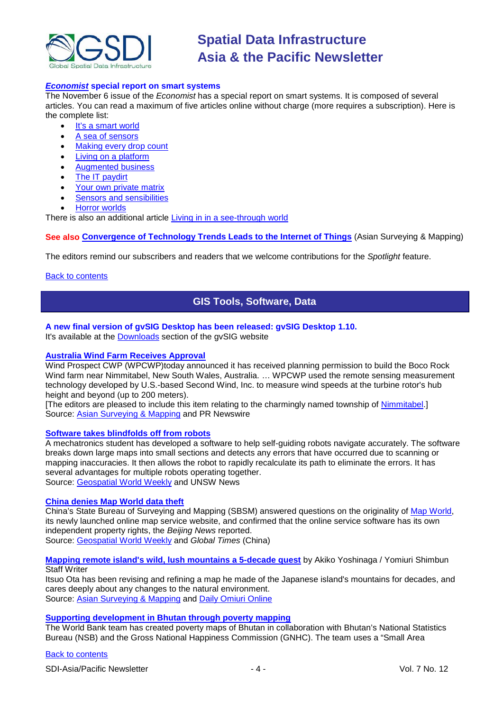

#### *Economist* **[special report on smart systems](http://www.economist.com/)**

The November 6 issue of the *Economist* has a special report on smart systems. It is composed of several articles. You can read a maximum of five articles online without charge (more requires a subscription). Here is the complete list:

- [It's a smart world](http://www.economist.com/node/17388368)
- [A sea of sensors](http://www.economist.com/node/17388356)
- [Making every drop count](http://www.economist.com/node/17388318)
- [Living on a platform](http://www.economist.com/node/17388308)
- [Augmented business](http://www.economist.com/node/17388392)
- [The IT paydirt](http://www.economist.com/node/17388298)
- [Your own private matrix](http://www.economist.com/node/17388382)
- [Sensors and sensibilities](http://www.economist.com/node/17388338)
- [Horror worlds](http://www.economist.com/node/17388328)

There is also an additional article [Living in in a see-through world](http://www.economist.com/node/17416748)

**See also [Convergence of Technology Trends Leads to the Internet of Things](http://asmmag.com/features/convergence-of-technology-trends-leads-to-the-internet-of-things)** (Asian Surveying & Mapping)

The editors remind our subscribers and readers that we welcome contributions for the *Spotlight* feature.

#### <span id="page-3-0"></span>[Back to contents](#page-0-0)

# **GIS Tools, Software, Data**

# **A new final version of gvSIG Desktop has been released: gvSIG Desktop 1.10.**

It's available at the [Downloads](http://www.gvsig.org/web/projects/gvsig-desktop/official/gvsig-1.10/downloads) section of the gvSIG website

# **[Australia Wind Farm Receives Approval](http://www.prnewswire.com/news-releases/aided-by-market-leading-remote-sensing-technology-australian-boco-rock-wind-farm-receives-planning-permission-106953943.html)**

Wind Prospect CWP (WPCWP)today announced it has received planning permission to build the Boco Rock Wind farm near Nimmitabel, New South Wales, Australia. … WPCWP used the remote sensing measurement technology developed by U.S.-based Second Wind, Inc. to measure wind speeds at the turbine rotor's hub height and beyond (up to 200 meters).

[The editors are pleased to include this item relating to the charmingly named township of [Nimmitabel.](http://en.wikipedia.org/wiki/Nimmitabel,_New_South_Wales)] Source: [Asian Surveying & Mapping](http://asmmag.com/news/aided-by-remote-sensing-australia-wind-farm-receives-approval) and PR Newswire

#### **[Software takes blindfolds off from robots](http://www.unsw.edu.au/news/pad/articles/2010/oct/Eng_research_awards.html)**

A mechatronics student has developed a software to help self-guiding robots navigate accurately. The software breaks down large maps into small sections and detects any errors that have occurred due to scanning or mapping inaccuracies. It then allows the robot to rapidly recalculate its path to eliminate the errors. It has several advantages for multiple robots operating together. Source: [Geospatial World Weekly](http://www.geospatialworld.net/index.php?option=com_content&view=article&id=18821%3Asoftware-takes-blindfolds-off-from-robots&catid=61%3Aapplication-transportation-navigation&Itemid=1) and UNSW News

#### **[China denies Map World data theft](http://china.globaltimes.cn/society/2010-10/585872.html)**

China's State Bureau of Surveying and Mapping (SBSM) answered questions on the originality of [Map World,](http://tianditu.com/) its newly launched online map service website, and confirmed that the online service software has its own independent property rights, the *Beijing News* reported. Source: [Geospatial World Weekly](http://www.geospatialworld.net/index.php?option=com_content&view=article&id=18828%3Achina-refutes-data-stealing-allegation-for-map-world&catid=49%3Aproduct-data&Itemid=1) and *Global Times* (China)

**[Mapping remote island's wild, lush mountains a 5-decade quest](http://www.yomiuri.co.jp/dy/national/T101128002593.htm)** by Akiko Yoshinaga / Yomiuri Shimbun **Staff Writer** 

Itsuo Ota has been revising and refining a map he made of the Japanese island's mountains for decades, and cares deeply about any changes to the natural environment. Source: [Asian Surveying & Mapping](http://asmmag.com/news/filling-in-yakushima-s-blanks-a-five-decade-mapping-quest) and [Daily Omiuri Online](http://www.yomiuri.co.jp/dy/index.htm)

### **[Supporting development in Bhutan through poverty mapping](http://blogs.worldbank.org/endpovertyinsouthasia/how-can-poverty-mapping-support-development-bhutan)**

The World Bank team has created poverty maps of Bhutan in collaboration with Bhutan's National Statistics Bureau (NSB) and the Gross National Happiness Commission (GNHC). The team uses a "Small Area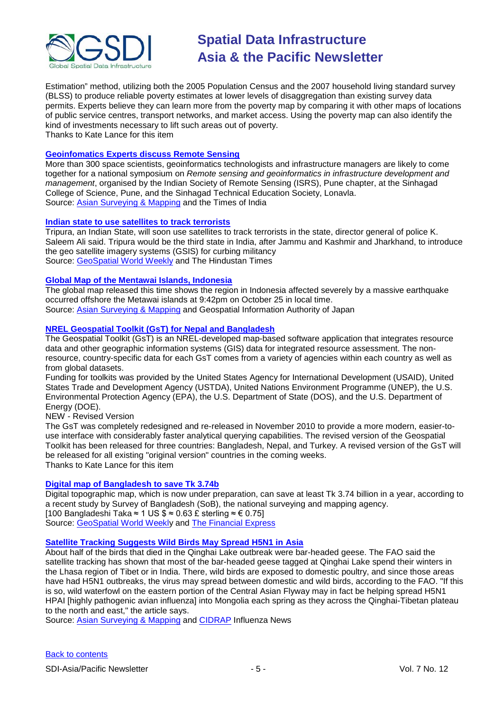

Estimation" method, utilizing both the 2005 Population Census and the 2007 household living standard survey (BLSS) to produce reliable poverty estimates at lower levels of disaggregation than existing survey data permits. Experts believe they can learn more from the poverty map by comparing it with other maps of locations of public service centres, transport networks, and market access. Using the poverty map can also identify the kind of investments necessary to lift such areas out of poverty. Thanks to Kate Lance for this item

#### **[Geoinfomatics Experts discuss Remote Sensing](http://timesofindia.indiatimes.com/city/pune/Geoinformatics-experts-to-discuss-remote-sensing/articleshow/7002476.cms#ixzz16bV9Iycx)**

More than 300 space scientists, geoinformatics technologists and infrastructure managers are likely to come together for a national symposium on *Remote sensing and geoinformatics in infrastructure development and management*, organised by the Indian Society of Remote Sensing (ISRS), Pune chapter, at the Sinhagad College of Science, Pune, and the Sinhagad Technical Education Society, Lonavla. Source: [Asian Surveying & Mapping](http://asmmag.com/news/geoinfomatics-experts-gather-in-pune-to-discuss-remote-sensing) and the Times of India

#### **[Indian state to use satellites to track terrorists](http://www.hindustantimes.com/News-Feed/tripura/Tripura-to-use-satellites-to-track-terrorists/Article1-626091.aspx)**

Tripura, an Indian State, will soon use satellites to track terrorists in the state, director general of police K. Saleem Ali said. Tripura would be the third state in India, after Jammu and Kashmir and Jharkhand, to introduce the geo satellite imagery systems (GSIS) for curbing militancy Source: [GeoSpatial World Weekly](http://geospatialworld.net/index.php?option=com_content&view=article&id=18945%3Aindian-state-to-use-satellites-to-track-terrorists&catid=57%3Aapplication-military&Itemid=1&pagetype=newssearch) and The Hindustan Times

### **[Global Map of the Mentawai Islands, Indonesia](http://www.gsi.go.jp/kankyochiri/gm-disaster-1027ind_e.html)**

The global map released this time shows the region in Indonesia affected severely by a massive earthquake occurred offshore the Metawai islands at 9:42pm on October 25 in local time. Source: [Asian Surveying & Mapping](http://asmmag.com/news/japan-global-map-of-the-mentawai-islands-indonesia) and Geospatial Information Authority of Japan

### **NREL [Geospatial Toolkit \(GsT\) for Nepal and Bangladesh](http://www.nrel.gov/international/geospatial_toolkits.html)**

The Geospatial Toolkit (GsT) is an NREL-developed map-based software application that integrates resource data and other geographic information systems (GIS) data for integrated resource assessment. The nonresource, country-specific data for each GsT comes from a variety of agencies within each country as well as from global datasets.

Funding for toolkits was provided by the United States Agency for International Development (USAID), United States Trade and Development Agency (USTDA), United Nations Environment Programme (UNEP), the U.S. Environmental Protection Agency (EPA), the U.S. Department of State (DOS), and the U.S. Department of Energy (DOE).

NEW - Revised Version

The GsT was completely redesigned and re-released in November 2010 to provide a more modern, easier-touse interface with considerably faster analytical querying capabilities. The revised version of the Geospatial Toolkit has been released for three countries: Bangladesh, Nepal, and Turkey. A revised version of the GsT will be released for all existing "original version" countries in the coming weeks. Thanks to Kate Lance for this item

# **[Digital map of Bangladesh to save Tk 3.74b](http://www.thefinancialexpress-bd.com/more.php?news_id=117497&date=2010-11-13)**

Digital topographic map, which is now under preparation, can save at least Tk 3.74 billion in a year, according to a recent study by Survey of Bangladesh (SoB), the national surveying and mapping agency. [100 Bangladeshi Taka ≈ 1 US  $\frac{6}{5}$  ≈ 0.63 £ sterling ≈ € 0.75] Source: [GeoSpatial World Weekly](http://geospatialworld.net/index.php?option=com_content&view=article&id=18944%3Adigital-topographic-map-can-save-tk-374b-sob&catid=66%3Aapplication-miscellaneous&Itemid=1&pagetype=newssearch) and The [Financial Express](http://www.thefinancialexpress-bd.com/)

#### **[Satellite Tracking Suggests Wild Birds May Spread H5N1 in Asia](http://www.cidrap.umn.edu/cidrap/content/influenza/avianflu/news/nov2210fao.html)**

About half of the birds that died in the Qinghai Lake outbreak were bar-headed geese. The FAO said the satellite tracking has shown that most of the bar-headed geese tagged at Qinghai Lake spend their winters in the Lhasa region of Tibet or in India. There, wild birds are exposed to domestic poultry, and since those areas have had H5N1 outbreaks, the virus may spread between domestic and wild birds, according to the FAO. "If this is so, wild waterfowl on the eastern portion of the Central Asian Flyway may in fact be helping spread H5N1 HPAI [highly pathogenic avian influenza] into Mongolia each spring as they across the Qinghai-Tibetan plateau to the north and east," the article says.

Source: [Asian Surveying & Mapping](http://asmmag.com/news/satellite-tracking-suggests-wild-birds-may-spread-h5n1-in-asia) and [CIDRAP](http://www.cidrap.umn.edu/index.html) Influenza News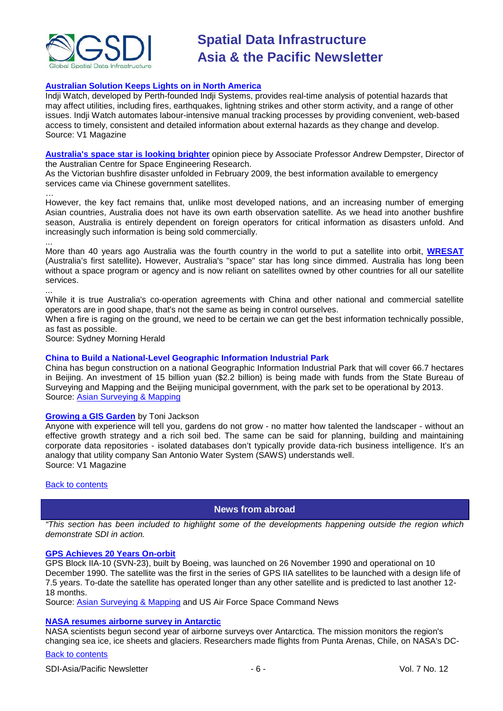

# **[Australian Solution Keeps Lights on in North America](http://www.vector1media.com/resources/toolbox/17090-australian-solution-keeps-lights-on-in-north-america)**

Indji Watch, developed by Perth-founded Indji Systems, provides real-time analysis of potential hazards that may affect utilities, including fires, earthquakes, lightning strikes and other storm activity, and a range of other issues. Indji Watch automates labour-intensive manual tracking processes by providing convenient, web-based access to timely, consistent and detailed information about external hazards as they change and develop. Source: V1 Magazine

**[Australia's space star is looking brighter](http://www.smh.com.au/opinion/politics/australias-space-star-is-looking-brighter-20101123-1851b.html)** opinion piece by Associate Professor Andrew Dempster, Director of the Australian Centre for Space Engineering Research.

As the Victorian bushfire disaster unfolded in February 2009, the best information available to emergency services came via Chinese government satellites.

… However, the key fact remains that, unlike most developed nations, and an increasing number of emerging Asian countries, Australia does not have its own earth observation satellite. As we head into another bushfire season, Australia is entirely dependent on foreign operators for critical information as disasters unfold. And increasingly such information is being sold commercially.

... More than 40 years ago Australia was the fourth country in the world to put a satellite into orbit, **[WRESAT](http://homepage.powerup.com.au/~woomera/wresat.htm)** (Australia's first satellite)**.** However, Australia's "space" star has long since dimmed. Australia has long been without a space program or agency and is now reliant on satellites owned by other countries for all our satellite services.

... While it is true Australia's co-operation agreements with China and other national and commercial satellite operators are in good shape, that's not the same as being in control ourselves.

When a fire is raging on the ground, we need to be certain we can get the best information technically possible, as fast as possible.

Source: Sydney Morning Herald

#### **China to Build a National-Level Geographic Information Industrial Park**

China has begun construction on a national Geographic Information Industrial Park that will cover 66.7 hectares in Beijing. An investment of 15 billion yuan (\$2.2 billion) is being made with funds from the State Bureau of Surveying and Mapping and the Beijing municipal government, with the park set to be operational by 2013. Source: [Asian Surveying & Mapping](http://asmmag.com/news/china-to-build-a-national-level-geographic-information-industrial-park-)

#### **[Growing a GIS Garden](http://www.vector1media.com/articles/features/16615-growing-a-gis-garden)** by Toni Jackson

Anyone with experience will tell you, gardens do not grow - no matter how talented the landscaper - without an effective growth strategy and a rich soil bed. The same can be said for planning, building and maintaining corporate data repositories - isolated databases don't typically provide data-rich business intelligence. It's an analogy that utility company San Antonio Water System (SAWS) understands well. Source: V1 Magazine

#### <span id="page-5-0"></span>**[Back to contents](#page-0-0)**

# **News from abroad**

*"This section has been included to highlight some of the developments happening outside the region which demonstrate SDI in action.*

#### **[GPS Achieves 20 Years On-orbit](http://www.afspc.af.mil/news/story.asp?id=123232581)**

GPS Block IIA-10 (SVN-23), built by Boeing, was launched on 26 November 1990 and operational on 10 December 1990. The satellite was the first in the series of GPS IIA satellites to be launched with a design life of 7.5 years. To-date the satellite has operated longer than any other satellite and is predicted to last another 12- 18 months.

Source: [Asian Surveying & Mapping](http://asmmag.com/news/global-positioning-system-satellite-achieves-20-years-on-orbit-) and US Air Force Space Command News

#### **[NASA resumes airborne survey in Antarctic](http://www.nasa.gov/mission_pages/icebridge/news/fall10/antarctic_2010campaign.html)**

NASA scientists begun second year of airborne surveys over Antarctica. The mission monitors the region's changing sea ice, ice sheets and glaciers. Researchers made flights from Punta Arenas, Chile, on NASA's DC-

### [Back to contents](#page-0-0)

SDI-Asia/Pacific Newsletter  $\overline{6}$  - 6 -  $\overline{8}$  -  $\overline{9}$  -  $\overline{9}$  -  $\overline{9}$  -  $\overline{9}$  Vol. 7 No. 12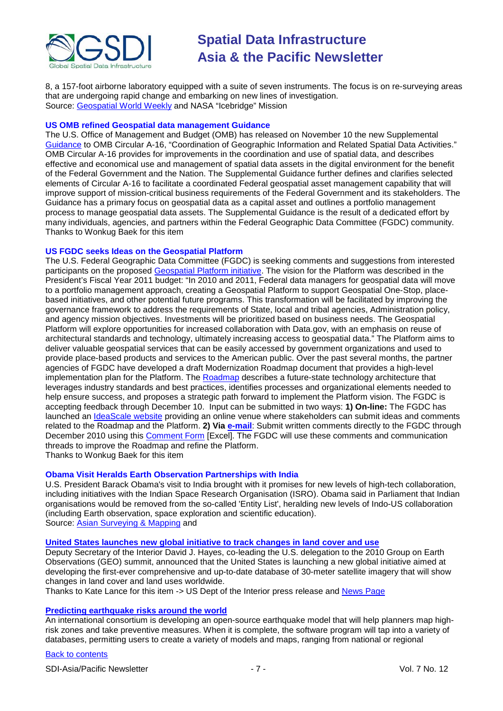

8, a 157-foot airborne laboratory equipped with a suite of seven instruments. The focus is on re-surveying areas that are undergoing rapid change and embarking on new lines of investigation. Source: [Geospatial World Weekly](http://www.geospatialworld.net/index.php?option=com_content&view=article&id=18826%3Anasa-resumes-airborne-survey-in-antarctic&catid=47%3Aproduct-surveying-mapping&Itemid=1) and NASA "Icebridge" Mission

#### **US OMB refined Geospatial data management Guidance**

The U.S. Office of Management and Budget (OMB) has released on November 10 the new Supplemental [Guidance](http://www.whitehouse.gov/sites/default/files/omb/memoranda/2011/m11-03.pdf) to OMB Circular A-16, "Coordination of Geographic Information and Related Spatial Data Activities." OMB Circular A-16 provides for improvements in the coordination and use of spatial data, and describes effective and economical use and management of spatial data assets in the digital environment for the benefit of the Federal Government and the Nation. The Supplemental Guidance further defines and clarifies selected elements of Circular A-16 to facilitate a coordinated Federal geospatial asset management capability that will improve support of mission-critical business requirements of the Federal Government and its stakeholders. The Guidance has a primary focus on geospatial data as a capital asset and outlines a portfolio management process to manage geospatial data assets. The Supplemental Guidance is the result of a dedicated effort by many individuals, agencies, and partners within the Federal Geographic Data Committee (FGDC) community. Thanks to Wonkug Baek for this item

### **US FGDC seeks Ideas on the Geospatial Platform**

The U.S. Federal Geographic Data Committee (FGDC) is seeking comments and suggestions from interested participants on the proposed [Geospatial Platform initiative.](http://www.geoplatform.gov/) The vision for the Platform was described in the President's Fiscal Year 2011 budget: "In 2010 and 2011, Federal data managers for geospatial data will move to a portfolio management approach, creating a Geospatial Platform to support Geospatial One-Stop, placebased initiatives, and other potential future programs. This transformation will be facilitated by improving the governance framework to address the requirements of State, local and tribal agencies, Administration policy, and agency mission objectives. Investments will be prioritized based on business needs. The Geospatial Platform will explore opportunities for increased collaboration with Data.gov, with an emphasis on reuse of architectural standards and technology, ultimately increasing access to geospatial data." The Platform aims to deliver valuable geospatial services that can be easily accessed by government organizations and used to provide place-based products and services to the American public. Over the past several months, the partner agencies of FGDC have developed a draft Modernization Roadmap document that provides a high-level implementation plan for the Platform. The [Roadmap](http://www.geoplatform.gov/) describes a future-state technology architecture that leverages industry standards and best practices, identifies processes and organizational elements needed to help ensure success, and proposes a strategic path forward to implement the Platform vision. The FGDC is accepting feedback through December 10. Input can be submitted in two ways: **1) On-line:** The FGDC has launched an [IdeaScale website](http://geoplatform.ideascale.com/) providing an online venue where stakeholders can submit ideas and comments related to the Roadmap and the Platform. **2) Via [e-mail](mailto:geoplatformcomments@fgdc.gov)**: Submit written comments directly to the FGDC through December 2010 using this [Comment Form](http://www.fgdc.gov/fgdc-news/GeoPlatform-Roadmap-v3-Comment-Log.xlsx/view) [Excel]. The FGDC will use these comments and communication threads to improve the Roadmap and refine the Platform.

Thanks to Wonkug Baek for this item

# **Obama Visit Heralds Earth Observation Partnerships with India**

U.S. President Barack Obama's visit to India brought with it promises for new levels of high-tech collaboration, including initiatives with the Indian Space Research Organisation (ISRO). Obama said in Parliament that Indian organisations would be removed from the so-called 'Entity List', heralding new levels of Indo-US collaboration (including Earth observation, space exploration and scientific education). Source: [Asian Surveying & Mapping](http://asmmag.com/news/obama-visit-heralds-earth-observation-partnerships-with-india) and

**[United States launches new global initiative to track changes in land cover and use](http://www.doi.gov/news/pressreleases/United-States-Launches-New-Global-Initiative-to-Track-Changes-in-Land-Cover-and-Use-Data-Sharing-Will-Assist-Land-Managers-Worldwide.cfm)**

Deputy Secretary of the Interior David J. Hayes, co-leading the U.S. delegation to the 2010 Group on Earth Observations (GEO) summit, announced that the United States is launching a new global initiative aimed at developing the first-ever comprehensive and up-to-date database of 30-meter satellite imagery that will show changes in land cover and land uses worldwide.

Thanks to Kate Lance for this item -> US Dept of the Interior press release and [News Page](http://www.doi.gov/news/doinews/US-Launches-Initiatives-to-Share-Climate-Science-Data.cfm)

#### **[Predicting earthquake risks around the world](http://gcn.com/articles/2010/11/03/global-earthquake-model.aspx)**

An international consortium is developing an open-source earthquake model that will help planners map highrisk zones and take preventive measures. When it is complete, the software program will tap into a variety of databases, permitting users to create a variety of models and maps, ranging from national or regional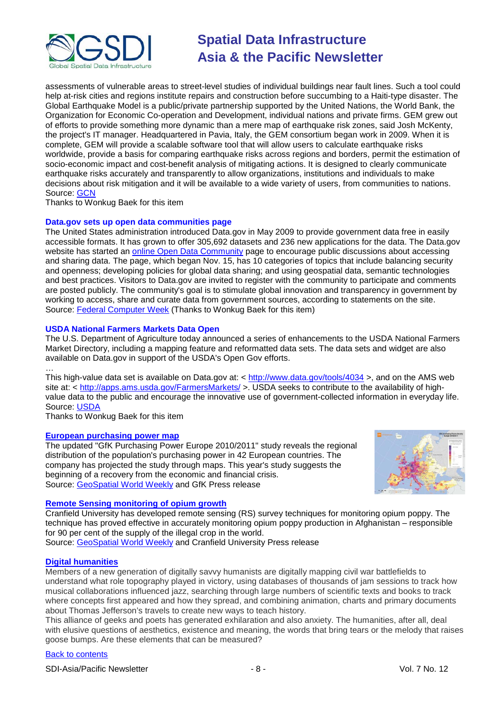

assessments of vulnerable areas to street-level studies of individual buildings near fault lines. Such a tool could help at-risk cities and regions institute repairs and construction before succumbing to a Haiti-type disaster. The Global Earthquake Model is a public/private partnership supported by the United Nations, the World Bank, the Organization for Economic Co-operation and Development, individual nations and private firms. GEM grew out of efforts to provide something more dynamic than a mere map of earthquake risk zones, said Josh McKenty, the project's IT manager. Headquartered in Pavia, Italy, the GEM consortium began work in 2009. When it is complete, GEM will provide a scalable software tool that will allow users to calculate earthquake risks worldwide, provide a basis for comparing earthquake risks across regions and borders, permit the estimation of socio-economic impact and cost-benefit analysis of mitigating actions. It is designed to clearly communicate earthquake risks accurately and transparently to allow organizations, institutions and individuals to make decisions about risk mitigation and it will be available to a wide variety of users, from communities to nations. Source: [GCN](http://gcn.com/)

Thanks to Wonkug Baek for this item

### **Data.gov sets up open data communities page**

The United States administration introduced Data.gov in May 2009 to provide government data free in easily accessible formats. It has grown to offer 305,692 datasets and 236 new applications for the data. The Data.gov website has started an **online Open Data Community** page to encourage public discussions about accessing and sharing data. The page, which began Nov. 15, has 10 categories of topics that include balancing security and openness; developing policies for global data sharing; and using geospatial data, semantic technologies and best practices. Visitors to Data.gov are invited to register with the community to participate and comments are posted publicly. The community's goal is to stimulate global innovation and transparency in government by working to access, share and curate data from government sources, according to statements on the site. Source: [Federal Computer Week](http://fcw.com/articles/2010/11/17/data.gov-communities-open-data.aspx) (Thanks to Wonkug Baek for this item)

### **USDA National Farmers Markets Data Open**

The U.S. Department of Agriculture today announced a series of enhancements to the USDA National Farmers Market Directory, including a mapping feature and reformatted data sets. The data sets and widget are also available on Data.gov in support of the USDA's Open Gov efforts.

… This high-value data set is available on Data.gov at: < <u>http://www.data.gov/tools/4034</u> >, and on the AMS web site at: <<http://apps.ams.usda.gov/FarmersMarkets/> >. USDA seeks to contribute to the availability of highvalue data to the public and encourage the innovative use of government-collected information in everyday life. Source: [USDA](http://www.usda.gov/wps/portal/usda/!ut/p/c4/04_SB8K8xLLM9MSSzPy8xBz9CP0os_gAC9-wMJ8QY0MDpxBDA09nXw9DFxcXQ-cAA_2CbEdFAEUOjoE!/?contentidonly=true&contentid=2010%2F11%2F0609.xml)

Thanks to Wonkug Baek for this item

#### **[European purchasing power map](http://www.gfk-geomarketing.com/fileadmin/newsletter/pressrelease/purchasing-power_europe_2010.html)**

The updated "GfK Purchasing Power Europe 2010/2011" study reveals the regional distribution of the population's purchasing power in 42 European countries. The company has projected the study through maps. This year's study suggests the beginning of a recovery from the economic and financial crisis. Source: [GeoSpatial World Weekly](http://geospatialworld.net/index.php?option=com_content&view=article&id=19004%3Amap-highlights-european-consumers-potential-&catid=72%3Abusiness-market-survey-research&Itemid=1&pagetype=newssearch) and GfK Press release



# **[Remote Sensing monitoring of opium growth](http://www.cranfield.ac.uk/news/pressreleases/2010/page51323.html?cid=rssfeed)**

Cranfield University has developed remote sensing (RS) survey techniques for monitoring opium poppy. The technique has proved effective in accurately monitoring opium poppy production in Afghanistan – responsible for 90 per cent of the supply of the illegal crop in the world.

Source: [GeoSpatial World Weekly](http://geospatialworld.net/index.php?option=com_content&view=article&id=19006%3Ars-techniques-improve-monitoring-of-opium-poppy&catid=51%3Aapplication-agriculture&Itemid=1&pagetype=newssearch) and Cranfield University Press release

# **[Digital humanities](http://www.nytimes.com/2010/11/17/arts/17digital.html?_r=2&hp)**

Members of a new generation of digitally savvy humanists are digitally mapping civil war battlefields to understand what role topography played in victory, using databases of thousands of jam sessions to track how musical collaborations influenced jazz, searching through large numbers of scientific texts and books to track where concepts first appeared and how they spread, and combining animation, charts and primary documents about Thomas Jefferson's travels to create new ways to teach history.

This alliance of geeks and poets has generated exhilaration and also anxiety. The humanities, after all, deal with elusive questions of aesthetics, existence and meaning, the words that bring tears or the melody that raises goose bumps. Are these elements that can be measured?

# [Back to contents](#page-0-0)

SDI-Asia/Pacific Newsletter  $\overline{\phantom{a}}$  - 8 -  $\overline{\phantom{a}}$  -  $\overline{\phantom{a}}$  Vol. 7 No. 12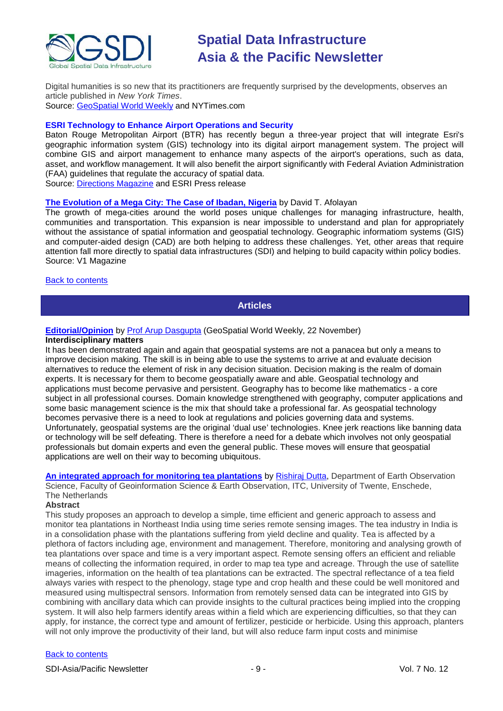

Digital humanities is so new that its practitioners are frequently surprised by the developments, observes an article published in *New York Times*. Source: [GeoSpatial World Weekly](http://geospatialworld.net/index.php?option=com_content&view=article&id=19008%3Adigital-humanities--the-next-big-thing&catid=66%3Aapplication-miscellaneous&Itemid=1&pagetype=newssearch) and NYTimes.com

# **ESRI Technology to Enhance Airport Operations and Security**

Baton Rouge Metropolitan Airport (BTR) has recently begun a three-year project that will integrate Esri's geographic information system (GIS) technology into its digital airport management system. The project will combine GIS and airport management to enhance many aspects of the airport's operations, such as data, asset, and workflow management. It will also benefit the airport significantly with Federal Aviation Administration (FAA) guidelines that regulate the accuracy of spatial data.

Source: Directions Magazine and ESRI Press release

#### **[The Evolution of a Mega City: The Case of Ibadan, Nigeria](http://www.vector1media.com/articles/features/16973-the-evolution-of-a-mega-city-the-case-of-ibadan-nigeria)** by David T. Afolayan

The growth of mega-cities around the world poses unique challenges for managing infrastructure, health, communities and transportation. This expansion is near impossible to understand and plan for appropriately without the assistance of spatial information and geospatial technology. Geographic informatiom systems (GIS) and computer-aided design (CAD) are both helping to address these challenges. Yet, other areas that require attention fall more directly to spatial data infrastructures (SDI) and helping to build capacity within policy bodies. Source: V1 Magazine

#### <span id="page-8-0"></span>**[Back to contents](#page-0-0)**

# **Articles**

# **[Editorial/Opinion](http://www.geospatialworld.net/newsletter/weekly_newsletter/nov2210.htm)** by [Prof Arup Dasgupta](mailto:arup.dasgupta@gisdevelopment.net) (GeoSpatial World Weekly, 22 November)

#### **Interdisciplinary matters**

It has been demonstrated again and again that geospatial systems are not a panacea but only a means to improve decision making. The skill is in being able to use the systems to arrive at and evaluate decision alternatives to reduce the element of risk in any decision situation. Decision making is the realm of domain experts. It is necessary for them to become geospatially aware and able. Geospatial technology and applications must become pervasive and persistent. Geography has to become like mathematics - a core subject in all professional courses. Domain knowledge strengthened with geography, computer applications and some basic management science is the mix that should take a professional far. As geospatial technology becomes pervasive there is a need to look at regulations and policies governing data and systems. Unfortunately, geospatial systems are the original 'dual use' technologies. Knee jerk reactions like banning data or technology will be self defeating. There is therefore a need for a debate which involves not only geospatial professionals but domain experts and even the general public. These moves will ensure that geospatial applications are well on their way to becoming ubiquitous.

**[An integrated approach for monitoring tea plantations](http://geospatialworld.net/index.php?option=com_content&view=article&id=19161%3Aan-integrated-approach-for-monitoring-tea-plantations-&catid=111%3Aagriculture-overview&Itemid=41)** by [Rishiraj Dutta,](mailto:dutta13191@itc.nl) Department of Earth Observation Science, Faculty of Geoinformation Science & Earth Observation, ITC, University of Twente, Enschede, The Netherlands

#### **Abstract**

This study proposes an approach to develop a simple, time efficient and generic approach to assess and monitor tea plantations in Northeast India using time series remote sensing images. The tea industry in India is in a consolidation phase with the plantations suffering from yield decline and quality. Tea is affected by a plethora of factors including age, environment and management. Therefore, monitoring and analysing growth of tea plantations over space and time is a very important aspect. Remote sensing offers an efficient and reliable means of collecting the information required, in order to map tea type and acreage. Through the use of satellite imageries, information on the health of tea plantations can be extracted. The spectral reflectance of a tea field always varies with respect to the phenology, stage type and crop health and these could be well monitored and measured using multispectral sensors. Information from remotely sensed data can be integrated into GIS by combining with ancillary data which can provide insights to the cultural practices being implied into the cropping system. It will also help farmers identify areas within a field which are experiencing difficulties, so that they can apply, for instance, the correct type and amount of fertilizer, pesticide or herbicide. Using this approach, planters will not only improve the productivity of their land, but will also reduce farm input costs and minimise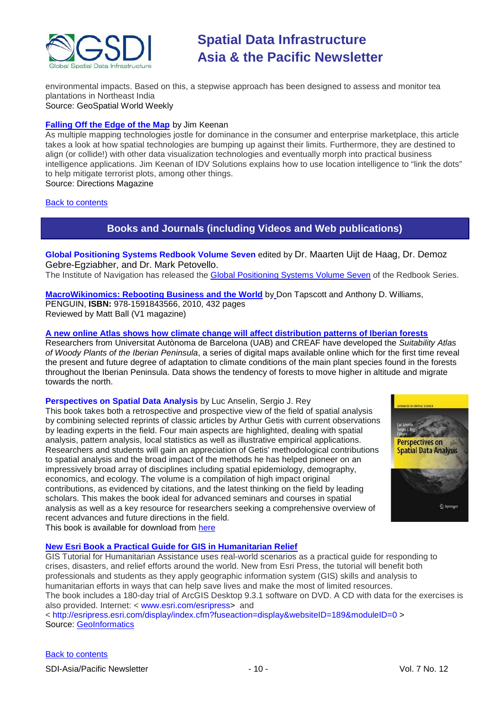

environmental impacts. Based on this, a stepwise approach has been designed to assess and monitor tea plantations in Northeast India Source: GeoSpatial World Weekly

#### **[Falling Off the Edge of the Map](http://www.directionsmag.com/articles/falling-off-the-edge-of-the-map/142735)** by Jim Keenan

As multiple mapping technologies jostle for dominance in the consumer and enterprise marketplace, this article takes a look at how spatial technologies are bumping up against their limits. Furthermore, they are destined to align (or collide!) with other data visualization technologies and eventually morph into practical business intelligence applications. Jim Keenan of IDV Solutions explains how to use location intelligence to "link the dots" to help mitigate terrorist plots, among other things.

Source: Directions Magazine

#### <span id="page-9-0"></span>[Back to contents](#page-0-0)

# **Books and Journals (including Videos and Web publications)**

**Global Positioning Systems Redbook Volume Seven** edited by Dr. Maarten Uijt de Haag, Dr. Demoz Gebre-Egziabher, and Dr. Mark Petovello. The Institute of Navigation has released the [Global Positioning Systems Volume Seven](http://www.ion.org/publications/toc/redbookstocV7.htm) of the Redbook Series.

**[MacroWikinomics: Rebooting Business and the World](http://www.vector1media.com/articles/reviews/17006-macrowikinomics-rebooting-business-and-the-world)** by Don Tapscott and Anthony D. Williams, PENGUIN, **ISBN:** 978-1591843566, 2010, 432 pages Reviewed by Matt Ball (V1 magazine)

#### **[A new online Atlas shows how climate change will affect distribution patterns of Iberian forests](http://www.directionsmag.com/pressreleases/a-new-online-atlas-shows-how-climate-change-will-affect-distribution-p/144860)**

Researchers from Universitat Autònoma de Barcelona (UAB) and CREAF have developed the *Suitability Atlas of Woody Plants of the Iberian Peninsula*, a series of digital maps available online which for the first time reveal the present and future degree of adaptation to climate conditions of the main plant species found in the forests throughout the Iberian Peninsula. Data shows the tendency of forests to move higher in altitude and migrate towards the north.

#### **Perspectives on Spatial Data Analysis** by Luc Anselin, Sergio J. Rey

This book takes both a retrospective and prospective view of the field of spatial analysis by combining selected reprints of classic articles by Arthur Getis with current observations by leading experts in the field. Four main aspects are highlighted, dealing with spatial analysis, pattern analysis, local statistics as well as illustrative empirical applications. Researchers and students will gain an appreciation of Getis' methodological contributions to spatial analysis and the broad impact of the methods he has helped pioneer on an impressively broad array of disciplines including spatial epidemiology, demography, economics, and ecology. The volume is a compilation of high impact original contributions, as evidenced by citations, and the latest thinking on the field by leading scholars. This makes the book ideal for advanced seminars and courses in spatial analysis as well as a key resource for researchers seeking a comprehensive overview of recent advances and future directions in the field. This book is available for download from [here](http://www.ebook3000.com/Perspectives-on-Spatial-Data-Analysis_104572.html)



GIS Tutorial for Humanitarian Assistance uses real-world scenarios as a practical guide for responding to crises, disasters, and relief efforts around the world. New from Esri Press, the tutorial will benefit both professionals and students as they apply geographic information system (GIS) skills and analysis to humanitarian efforts in ways that can help save lives and make the most of limited resources. The book includes a 180-day trial of ArcGIS Desktop 9.3.1 software on DVD. A CD with data for the exercises is also provided. Internet: < [www.esri.com/esripress>](http://www.esri.com/esripress) and

<<http://esripress.esri.com/display/index.cfm?fuseaction=display&websiteID=189&moduleID=0> > Source: [GeoInformatics](http://www.geoinformatics.com/blog/)

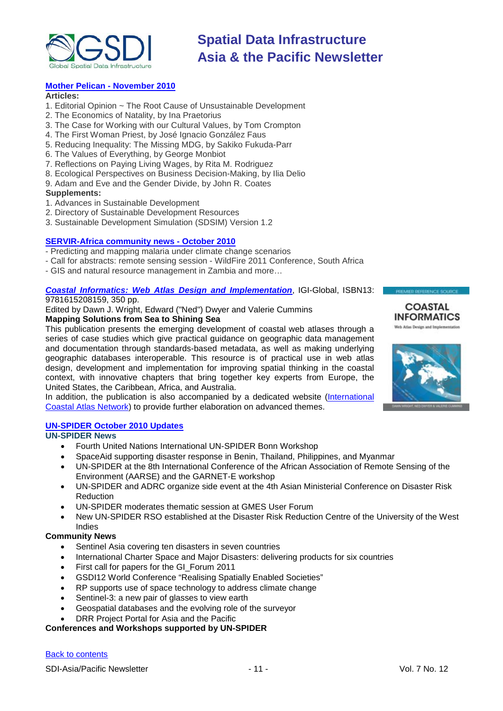

#### **[Mother Pelican -](http://www.pelicanweb.org/solisustv06n11page1.html) November 2010**

#### **Articles:**

- 1. Editorial Opinion ~ The Root Cause of Unsustainable Development
- 2. The Economics of Natality, by Ina Praetorius
- 3. The Case for Working with our Cultural Values, by Tom Crompton
- 4. The First Woman Priest, by José Ignacio González Faus
- 5. Reducing Inequality: The Missing MDG, by Sakiko Fukuda-Parr
- 6. The Values of Everything, by George Monbiot
- 7. Reflections on Paying Living Wages, by Rita M. Rodriguez
- 8. Ecological Perspectives on Business Decision-Making, by Ilia Delio
- 9. Adam and Eve and the Gender Divide, by John R. Coates

#### **Supplements:**

- 1. Advances in Sustainable Development
- 2. Directory of Sustainable Development Resources
- 3. Sustainable Development Simulation (SDSIM) Version 1.2

#### **[SERVIR-Africa community news -](http://www.servir.net/africa/index.php?option=com_mamblog&Itemid=54&task=show&action=all&id=0&ignorecount=1) October 2010**

- Predicting and mapping malaria under climate change scenarios
- Call for abstracts: remote sensing session WildFire 2011 Conference, South Africa
- GIS and natural resource management in Zambia and more…

#### *[Coastal Informatics: Web Atlas Design and Implementation](http://icoastalatlas.net/handbook)*, IGI-Global, ISBN13:

9781615208159, 350 pp.

Edited by Dawn J. Wright, Edward ("Ned") Dwyer and Valerie Cummins **Mapping Solutions from Sea to Shining Sea**

This publication presents the emerging development of coastal web atlases through a series of case studies which give practical guidance on geographic data management and documentation through standards-based metadata, as well as making underlying geographic databases interoperable. This resource is of practical use in web atlas design, development and implementation for improving spatial thinking in the coastal context, with innovative chapters that bring together key experts from Europe, the United States, the Caribbean, Africa, and Australia.

In addition, the publication is also accompanied by a dedicated website [\(International](http://icoastalatlas.net/)  [Coastal Atlas Network\)](http://icoastalatlas.net/) to provide further elaboration on advanced themes.

# **[UN-SPIDER October 2010 Updates](http://www.un-spider.org/about/updates/october-2010)**

**UN-SPIDER News**

- Fourth United Nations International UN-SPIDER Bonn Workshop
- SpaceAid supporting disaster response in Benin, Thailand, Philippines, and Myanmar
- UN-SPIDER at the 8th International Conference of the African Association of Remote Sensing of the Environment (AARSE) and the GARNET-E workshop
- UN-SPIDER and ADRC organize side event at the 4th Asian Ministerial Conference on Disaster Risk Reduction
- UN-SPIDER moderates thematic session at GMES User Forum
- New UN-SPIDER RSO established at the Disaster Risk Reduction Centre of the University of the West Indies

#### **Community News**

- Sentinel Asia covering ten disasters in seven countries
- International Charter Space and Major Disasters: delivering products for six countries
- First call for papers for the GI\_Forum 2011
- GSDI12 World Conference "Realising Spatially Enabled Societies"
- RP supports use of space technology to address climate change
- Sentinel-3: a new pair of glasses to view earth
- Geospatial databases and the evolving role of the surveyor
- DRR Project Portal for Asia and the Pacific

## **Conferences and Workshops supported by UN-SPIDER**

#### [Back to contents](#page-0-0)



**COASTAL** 

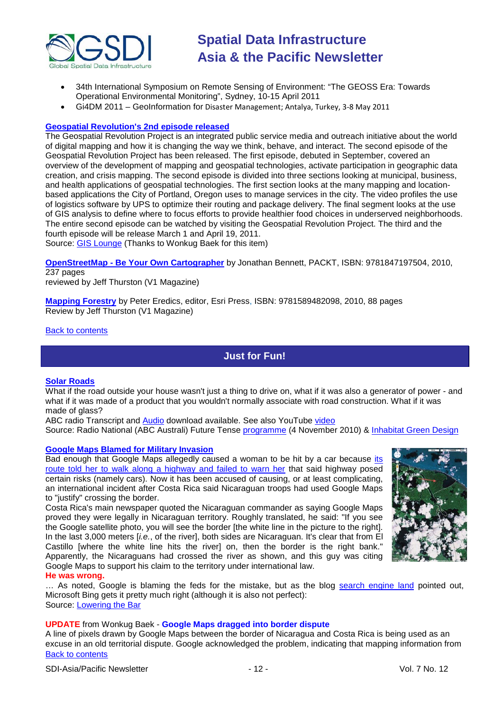

- 34th International Symposium on Remote Sensing of Environment: "The GEOSS Era: Towards Operational Environmental Monitoring", Sydney, 10-15 April 2011
- Gi4DM 2011 GeoInformation for Disaster Management; Antalya, Turkey, 3-8 May 2011

### **[Geospatial Revolution's 2nd episode released](http://geospatialrevolution.psu.edu/)**

The Geospatial Revolution Project is an integrated public service media and outreach initiative about the world of digital mapping and how it is changing the way we think, behave, and interact. The second episode of the Geospatial Revolution Project has been released. The first episode, debuted in September, covered an overview of the development of mapping and geospatial technologies, activate participation in geographic data creation, and crisis mapping. The second episode is divided into three sections looking at municipal, business, and health applications of geospatial technologies. The first section looks at the many mapping and locationbased applications the City of Portland, Oregon uses to manage services in the city. The video profiles the use of logistics software by UPS to optimize their routing and package delivery. The final segment looks at the use of GIS analysis to define where to focus efforts to provide healthier food choices in underserved neighborhoods. The entire second episode can be watched by visiting the Geospatial Revolution Project. The third and the fourth episode will be release March 1 and April 19, 2011. Source: [GIS Lounge](http://gislounge.com/geospatial-revolution-debuts-second-episode/) (Thanks to Wonkug Baek for this item)

**OpenStreetMap - [Be Your Own Cartographer](http://www.vector1media.com/articles/reviews/16978-openstreetmap-be-your-own-cartographer)** by Jonathan Bennett, PACKT, ISBN: 9781847197504, 2010, 237 pages

reviewed by Jeff Thurston (V1 Magazine)

**[Mapping Forestry](http://www.vector1media.com/articles/reviews/16461-mapping-forestry)** by Peter Eredics, editor, Esri [Press, I](http://esripress.esri.com/display/index.cfm?fuseaction=display&websiteID=168)SBN: 9781589482098, 2010, 88 pages Review by Jeff Thurston (V1 Magazine)

<span id="page-11-0"></span>[Back to contents](#page-0-0)

# **Just for Fun!**

#### **[Solar Roads](http://www.solarroadways.com/main.html)**

What if the road outside your house wasn't just a thing to drive on, what if it was also a generator of power - and what if it was made of a product that you wouldn't normally associate with road construction. What if it was made of glass?

ABC radio Transcript and [Audio](http://mpegmedia.abc.net.au/rn/podcast/2010/11/fte_20101104_0830.mp3) download available. See also YouTube [video](http://www.youtube.com/watch?v=Ep4L18zOEYI)

Source: Radio National (ABC Australi) Future Tense [programme](http://www.abc.net.au/rn/futuretense/stories/2010/3049796.htm) (4 November 2010) & [Inhabitat Green Design](http://www.inhabitat.com/2009/08/27/solar-roadways-to-prototype-first-ever-solar-road-panel)

#### **[Google Maps Blamed for Military Invasion](http://www.loweringthebar.net/2010/11/google-maps-blamed-for-invasion.html)**

Bad enough that Google Maps allegedly caused a woman to be hit by a car because [its](http://www.loweringthebar.net/2010/05/google-maps-made-me-walk-onto-the-highway-woman-claims.html)  [route told her to walk along a highway and failed to warn her](http://www.loweringthebar.net/2010/05/google-maps-made-me-walk-onto-the-highway-woman-claims.html) that said highway posed certain risks (namely cars). Now it has been accused of causing, or at least complicating, an international incident after Costa Rica said Nicaraguan troops had used Google Maps to "justify" crossing the border.

Costa Rica's main newspaper quoted the Nicaraguan commander as saying Google Maps proved they were legally in Nicaraguan territory. Roughly translated, he said: "If you see the Google satellite photo, you will see the border [the white line in the picture to the right]. In the last 3,000 meters [*i.e.*, of the river], both sides are Nicaraguan. It's clear that from El Castillo [where the white line hits the river] on, then the border is the right bank." Apparently, the Nicaraguans had crossed the river as shown, and this guy was citing Google Maps to support his claim to the territory under international law.



**He was wrong.**

… As noted, Google is blaming the feds for the mistake, but as the blog [search engine land](http://searchengineland.com/google-maps-uncle-sams-to-blame-costa-rica-nicaragua-border-54981) pointed out, Microsoft Bing gets it pretty much right (although it is also not perfect): Source: [Lowering the Bar](http://www.loweringthebar.net/)

# **UPDATE** from Wonkug Baek - **Google Maps dragged into border dispute**

[Back to contents](#page-0-0) A line of pixels drawn by Google Maps between the border of Nicaragua and Costa Rica is being used as an excuse in an old territorial dispute. Google acknowledged the problem, indicating that mapping information from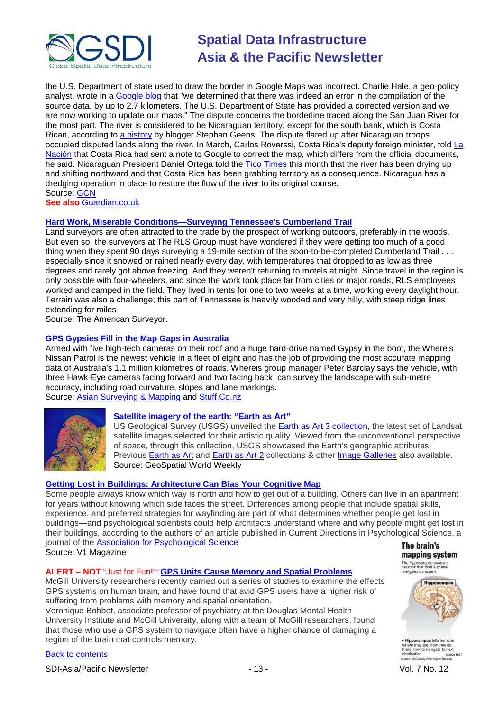

the U.S. Department of state used to draw the border in Google Maps was incorrect. Charlie Hale, a geo-policy analyst, wrote in a [Google blog](http://google-latlong.blogspot.com/2010/11/regarding-boundary-between-costa-rica.html) that "we determined that there was indeed an error in the compilation of the source data, by up to 2.7 kilometers. The U.S. Department of State has provided a corrected version and we are now working to update our maps." The dispute concerns the borderline traced along the San Juan River for the most part. The river is considered to be Nicaraguan territory, except for the south bank, which is Costa Rican, according to [a history](http://ogleearth.com/2010/11/about-costa-rica-nicaragua-their-border-and-google/) by blogger Stephan Geens. The dispute flared up after Nicaraguan troops occupied disputed lands along the river. In March, Carlos Roverssi, Costa Rica's deputy foreign minister, told [La](http://www.nacion.com/2010-11-04/ElPais/NotasSecundarias/ElPais2577867.aspx)  [Nación](http://www.nacion.com/2010-11-04/ElPais/NotasSecundarias/ElPais2577867.aspx) that Costa Rica had sent a note to Google to correct the map, which differs from the official documents, he said. Nicaraguan President Daniel Ortega told the [Tico Times](http://www.ticotimes.net/News/Daily-News/Nicaragua-s-President-Accuses-Costa-Rica-of-Trying-to-Steal-Rio-San-Juan_Tuesday-November-02-2010/(offset)/10) this month that the river has been drying up and shifting northward and that Costa Rica has been grabbing territory as a consequence. Nicaragua has a dredging operation in place to restore the flow of the river to its original course. Source: **GCN** 

**See also** [Guardian.co.uk](http://www.guardian.co.uk/technology/2010/nov/15/google-map-dispute-nicaragua)

# **[Hard Work, Miserable Conditions—Surveying Tennessee's](http://www.amerisurv.com/content/view/7990/153/) Cumberland Trail**

Land surveyors are often attracted to the trade by the prospect of working outdoors, preferably in the woods. But even so, the surveyors at The RLS Group must have wondered if they were getting too much of a good thing when they spent 90 days surveying a 19-mile section of the soon-to-be-completed Cumberland Trail . . . especially since it snowed or rained nearly every day, with temperatures that dropped to as low as three degrees and rarely got above freezing. And they weren't returning to motels at night. Since travel in the region is only possible with four-wheelers, and since the work took place far from cities or major roads, RLS employees worked and camped in the field. They lived in tents for one to two weeks at a time, working every daylight hour. Terrain was also a challenge; this part of Tennessee is heavily wooded and very hilly, with steep ridge lines extending for miles

Source: The American Surveyor.

# **[GPS Gypsies Fill in the Map Gaps in Australia](http://www.stuff.co.nz/travel/australia/outback/4326891/GPS-gypsies-fill-in-the-map-gaps)**

Armed with five high-tech cameras on their roof and a huge hard-drive named Gypsy in the boot, the Whereis Nissan Patrol is the newest vehicle in a fleet of eight and has the job of providing the most accurate mapping data of Australia's 1.1 million kilometres of roads. Whereis group manager Peter Barclay says the vehicle, with three Hawk-Eye cameras facing forward and two facing back, can survey the landscape with sub-metre accuracy, including road curvature, slopes and lane markings. Source: [Asian Surveying & Mapping](http://asmmag.com/news/gps-gypsies-fill-in-the-map-gaps-in-australia) and [Stuff.Co.nz](http://www.stuff.co.nz/)



# **Satellite imagery of the earth: "Earth as Art"**

US Geological Survey (USGS) unveiled the [Earth as Art 3 collection,](http://eros.usgs.gov/imagegallery/collection.php?type=earth_as_art_3) the latest set of Landsat satellite images selected for their artistic quality. Viewed from the unconventional perspective of space, through this collection, USGS showcased the Earth's geographic attributes. Previous **Earth as Art and [Earth as Art](http://eros.usgs.gov/imagegallery/collection.php?type=earth_as_art) 2** collections & other *Image Galleries* also available. Source: GeoSpatial World Weekly

# **[Getting Lost in Buildings: Architecture Can Bias Your Cognitive Map](http://www.vector1media.com/news/top-stories/53-corporate-news/17070-getting-lost-in-buildings-architecture-can-bias-your-cognitive-map)**

Some people always know which way is north and how to get out of a building. Others can live in an apartment for years without knowing which side faces the street. Differences among people that include spatial skills, experience, and preferred strategies for wayfinding are part of what determines whether people get lost in buildings—and psychological scientists could help architects understand where and why people might get lost in their buildings, according to the authors of an article published in Current Directions in Psychological Science, a journal of the [Association for Psychological Science](http://www.psychologicalscience.org/index.php/news/releases/getting-lost-in-buildings-architecture-can-bias-your-cognitive-map.html) The brain's

Source: V1 Magazine

# **ALERT – NOT** "Just for Fun!": **[GPS Units Cause Memory and Spatial Problems](http://www.dailytech.com/Study+GPS+Units+Cause+Memory+and+Spatial+Problems+/article20169.htm)**

McGill University researchers recently carried out a series of studies to examine the effects GPS systems on human brain, and have found that avid GPS users have a higher risk of suffering from problems with memory and spatial orientation.

Veronique Bohbot, associate professor of psychiatry at the Douglas Mental Health University Institute and McGill University, along with a team of McGill researchers, found that those who use a GPS system to navigate often have a higher chance of damaging a region of the brain that controls memory.

[Back to contents](#page-0-0)

SDI-Asia/Pacific Newsletter  $\sim$  13 - 13 - Vol. 7 No. 12

mapping system The hippocampus contains<br>neurons that form a spatial<br>navigation structure.

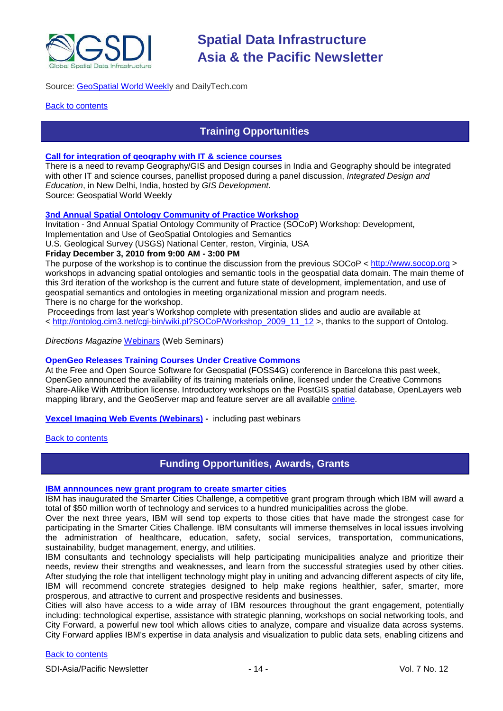

# Source: [GeoSpatial World Weekly](http://geospatialworld.net/index.php?option=com_content&view=article&id=19007%3Agps-can-cause-memory-loss-research&catid=74%3Amiscellaneous-research&Itemid=1&pagetype=newssearch) and DailyTech.com

#### <span id="page-13-0"></span>**[Back to contents](#page-0-0)**

# **Training Opportunities**

#### **[Call for integration of geography with IT & science courses](http://www.geospatialworld.net/index.php?option=com_content&view=article&id=18849%3Acall-for-integration-of-geography-with-science-courses&catid=75%3Amiscellaneous-events&Itemid=1)**

There is a need to revamp Geography/GIS and Design courses in India and Geography should be integrated with other IT and science courses, panellist proposed during a panel discussion, *Integrated Design and Education*, in New Delhi, India, hosted by *GIS Development*. Source: Geospatial World Weekly

### **[3nd Annual Spatial Ontology Community of Practice Workshop](http://www.fgdc.gov/fgdc-news/spatial-ontology-cop-workshop)**

Invitation - 3nd Annual Spatial Ontology Community of Practice (SOCoP) Workshop: Development,

Implementation and Use of GeoSpatial Ontologies and Semantics

U.S. Geological Survey (USGS) National Center, reston, Virginia, USA

### **Friday December 3, 2010 from 9:00 AM - 3:00 PM**

The purpose of the workshop is to continue the discussion from the previous SOCoP < [http://www.socop.org](http://www.socop.org/) > workshops in advancing spatial ontologies and semantic tools in the geospatial data domain. The main theme of this 3rd iteration of the workshop is the current and future state of development, implementation, and use of geospatial semantics and ontologies in meeting organizational mission and program needs.

There is no charge for the workshop.

Proceedings from last year's Workshop complete with presentation slides and audio are available at < [http://ontolog.cim3.net/cgi-bin/wiki.pl?SOCoP/Workshop\\_2009\\_11\\_12](http://ontolog.cim3.net/cgi-bin/wiki.pl?SOCoP/Workshop_2009_11_12) >, thanks to the support of Ontolog.

*Directions Magazine* [Webinars](http://www.directionsmag.com/webinars/) (Web Seminars)

#### **OpenGeo Releases Training Courses Under Creative Commons**

At the Free and Open Source Software for Geospatial (FOSS4G) conference in Barcelona this past week, OpenGeo announced the availability of its training materials online, licensed under the Creative Commons Share-Alike With Attribution license. Introductory workshops on the PostGIS spatial database, OpenLayers web mapping library, and the GeoServer map and feature server are all available [online.](http://www.workshops.opengeo.org/)

**[Vexcel Imaging Web Events](http://www.microsoft.com/ultracam/en-us/WebEvents.aspx) (Webinars) -** including past webinars

#### <span id="page-13-1"></span>**[Back to contents](#page-0-0)**

# **Funding Opportunities, Awards, Grants**

### **[IBM annnounces new grant program to create smarter cities](http://www.smartercitieschallenge.org/)**

IBM has inaugurated the Smarter Cities Challenge, a competitive grant program through which IBM will award a total of \$50 million worth of technology and services to a hundred municipalities across the globe.

Over the next three years, IBM will send top experts to those cities that have made the strongest case for participating in the Smarter Cities Challenge. IBM consultants will immerse themselves in local issues involving the administration of healthcare, education, safety, social services, transportation, communications, sustainability, budget management, energy, and utilities.

IBM consultants and technology specialists will help participating municipalities analyze and prioritize their needs, review their strengths and weaknesses, and learn from the successful strategies used by other cities. After studying the role that intelligent technology might play in uniting and advancing different aspects of city life, IBM will recommend concrete strategies designed to help make regions healthier, safer, smarter, more prosperous, and attractive to current and prospective residents and businesses.

Cities will also have access to a wide array of IBM resources throughout the grant engagement, potentially including: technological expertise, assistance with strategic planning, workshops on social networking tools, and City Forward, a powerful new tool which allows cities to analyze, compare and visualize data across systems. City Forward applies IBM's expertise in data analysis and visualization to public data sets, enabling citizens and

### [Back to contents](#page-0-0)

SDI-Asia/Pacific Newsletter  $\sim$  14 - 14 - Vol. 7 No. 12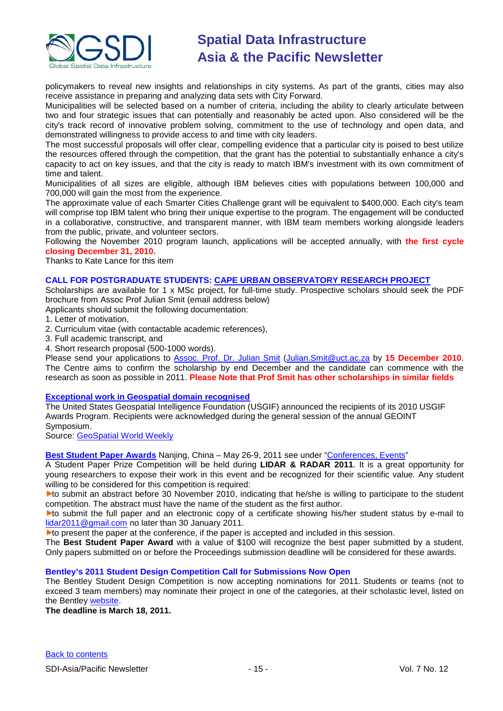

policymakers to reveal new insights and relationships in city systems. As part of the grants, cities may also receive assistance in preparing and analyzing data sets with City Forward.

Municipalities will be selected based on a number of criteria, including the ability to clearly articulate between two and four strategic issues that can potentially and reasonably be acted upon. Also considered will be the city's track record of innovative problem solving, commitment to the use of technology and open data, and demonstrated willingness to provide access to and time with city leaders.

The most successful proposals will offer clear, compelling evidence that a particular city is poised to best utilize the resources offered through the competition, that the grant has the potential to substantially enhance a city's capacity to act on key issues, and that the city is ready to match IBM's investment with its own commitment of time and talent.

Municipalities of all sizes are eligible, although IBM believes cities with populations between 100,000 and 700,000 will gain the most from the experience.

The approximate value of each Smarter Cities Challenge grant will be equivalent to \$400,000. Each city's team will comprise top IBM talent who bring their unique expertise to the program. The engagement will be conducted in a collaborative, constructive, and transparent manner, with IBM team members working alongside leaders from the public, private, and volunteer sectors.

Following the November 2010 program launch, applications will be accepted annually, with **the first cycle closing December 31, 2010.**

Thanks to Kate Lance for this item

#### **CALL FOR POSTGRADUATE STUDENTS: [CAPE URBAN OBSERVATORY RESEARCH PROJECT](http://cuo.geomatics.uct.ac.za/)**

Scholarships are available for 1 x MSc project, for full-time study. Prospective scholars should seek the PDF brochure from Assoc Prof Julian Smit (email address below)

Applicants should submit the following documentation:

1. Letter of motivation,

- 2. Curriculum vitae (with contactable academic references),
- 3. Full academic transcript, and
- 4. Short research proposal (500-1000 words).

Please send your applications to [Assoc. Prof. Dr. Julian Smit](mailto:Julian.Smit@uct.ac.za) [\(Julian.Smit@uct.ac.za](mailto:Julian.Smit@uct.ac.za) by **15 December 2010**. The Centre aims to confirm the scholarship by end December and the candidate can commence with the research as soon as possible in 2011. **Please Note that Prof Smit has other scholarships in similar fields**

#### **[Exceptional work in Geospatial domain recognised](http://usgif.org/news/155-usgif-announces-geospatial-intelligence-awards-recipients)**

The United States Geospatial Intelligence Foundation (USGIF) announced the recipients of its 2010 USGIF Awards Program. Recipients were acknowledged during the general session of the annual GEOINT Symposium.

Source: [GeoSpatial World Weekly](http://geospatialworld.net/index.php?option=com_content&view=article&id=18949%3Ausgif-recognises-exceptional-work-in-geospatial-domain&catid=81%3Amiscellaneous-award&Itemid=1&pagetype=newssearch)

**Best Student Paper Awards** Nanjing, China – May 26-9, 2011 see under ["Conferences, Events"](#page-16-0)

A Student Paper Prize Competition will be held during **LIDAR & RADAR 2011**. It is a great opportunity for young researchers to expose their work in this event and be recognized for their scientific value. Any student willing to be considered for this competition is required:

**Lo** submit an abstract before 30 November 2010, indicating that he/she is willing to participate to the student competition. The abstract must have the name of the student as the first author.

to submit the full paper and an electronic copy of a certificate showing his/her student status by e-mail to [lidar2011@gmail.com](mailto:lidar2011@gmail.com) no later than 30 January 2011.

 $\blacktriangleright$  to present the paper at the conference, if the paper is accepted and included in this session.

The **Best Student Paper Award** with a value of \$100 will recognize the best paper submitted by a student. Only papers submitted on or before the Proceedings submission deadline will be considered for these awards.

# **Bentley's 2011 Student Design Competition Call for Submissions Now Open**

The Bentley Student Design Competition is now accepting nominations for 2011. Students or teams (not to exceed 3 team members) may nominate their project in one of the categories, at their scholastic level, listed on the Bentley [website.](http://www.bentley.com/en-US/Corporate/News/Quarter+3/2011+Submissions.htm?BI=homepage&v=news+submissions)

**The deadline is March 18, 2011.**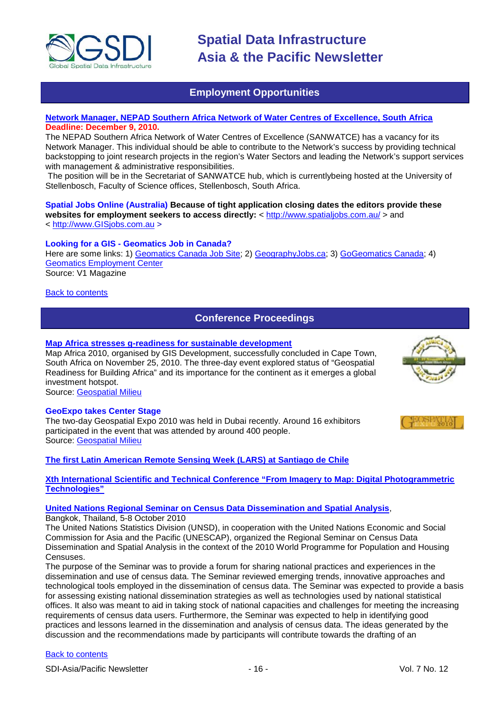

# **Employment Opportunities**

# <span id="page-15-0"></span>**[Network Manager, NEPAD Southern Africa Network of Water Centres of Excellence, South Africa](http://www.nepadst.org/sanbio/download/vacancy_network_manager_2010.pdf) Deadline: December 9, 2010.**

The NEPAD Southern Africa Network of Water Centres of Excellence (SANWATCE) has a vacancy for its Network Manager. This individual should be able to contribute to the Network's success by providing technical backstopping to joint research projects in the region's Water Sectors and leading the Network's support services with management & administrative responsibilities.

The position will be in the Secretariat of SANWATCE hub, which is currentlybeing hosted at the University of Stellenbosch, Faculty of Science offices, Stellenbosch, South Africa.

#### **Spatial Jobs Online (Australia) Because of tight application closing dates the editors provide these**  websites for employment seekers to access directly: <<http://www.spatialjobs.com.au/> > and < [http://www.GISjobs.com.au](http://www.gisjobs.com.au/) >

# **Looking for a GIS - Geomatics Job in Canada?**

Here are some links: 1) [Geomatics Canada Job Site;](http://geomaticscanada.com/jobs.cfm) 2) [GeographyJobs.ca;](http://www.geographyjobs.ca/) 3) [GoGeomatics Canada;](http://canada.gogeomatics.net/frmHome.aspx) 4) [Geomatics Employment Center](http://gisjobs.ca/) Source: V1 Magazine

#### <span id="page-15-1"></span>[Back to contents](#page-0-0)

# **Conference Proceedings**

### **[Map Africa stresses g-readiness for sustainable development](http://geospatialmilieu.org/ezine/maf2010.asp)**

Map Africa 2010, organised by GIS Development, successfully concluded in Cape Town, South Africa on November 25, 2010. The three-day event explored status of "Geospatial Readiness for Building Africa" and its importance for the continent as it emerges a global investment hotspot.

Source: [Geospatial Milieu](http://geospatialmilieu.org/)

#### **GeoExpo takes Center Stage**

The two-day Geospatial Expo 2010 was held in Dubai recently. Around 16 exhibitors participated in the event that was attended by around 400 people. Source: [Geospatial Milieu](http://geospatialmilieu.org/)

**[The first Latin American Remote Sensing Week \(LARS\) at Santiago de Chile](http://geospatialmilieu.org/ezine/lars_event.asp)**

### **[Xth International Scientific and Technical Conference "From Imagery to Map: Digital Photogrammetric](http://www.racurs.ru/Italy2010/en/)  [Technologies"](http://www.racurs.ru/Italy2010/en/)**

#### **[United Nations Regional Seminar on Census Data Dissemination and Spatial Analysis](http://unstats.un.org/unsd/demographic/meetings/wshops/Thailand_5Oct10/default.htm)**,

Bangkok, Thailand, 5-8 October 2010

The United Nations Statistics Division (UNSD), in cooperation with the United Nations Economic and Social Commission for Asia and the Pacific (UNESCAP), organized the Regional Seminar on Census Data Dissemination and Spatial Analysis in the context of the 2010 World Programme for Population and Housing Censuses.

The purpose of the Seminar was to provide a forum for sharing national practices and experiences in the dissemination and use of census data. The Seminar reviewed emerging trends, innovative approaches and technological tools employed in the dissemination of census data. The Seminar was expected to provide a basis for assessing existing national dissemination strategies as well as technologies used by national statistical offices. It also was meant to aid in taking stock of national capacities and challenges for meeting the increasing requirements of census data users. Furthermore, the Seminar was expected to help in identifying good practices and lessons learned in the dissemination and analysis of census data. The ideas generated by the discussion and the recommendations made by participants will contribute towards the drafting of an

# [Back to contents](#page-0-0)

SDI-Asia/Pacific Newsletter  $\sim$  16 - 16 - Vol. 7 No. 12



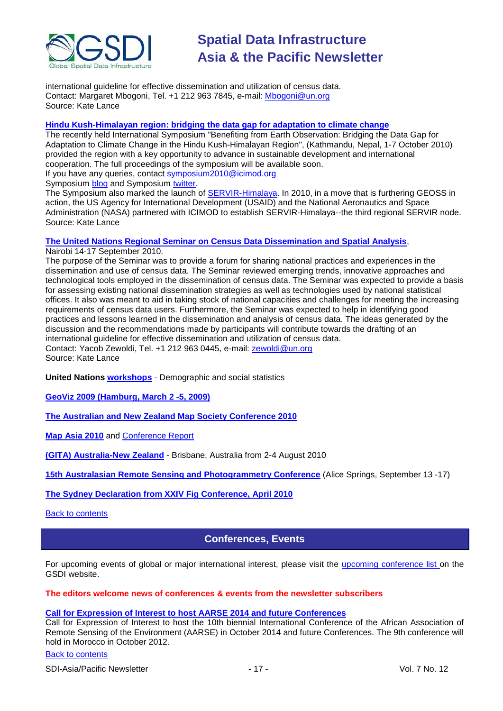

international guideline for effective dissemination and utilization of census data. Contact: Margaret Mbogoni, Tel. +1 212 963 7845, e-mail[: Mbogoni@un.org](mailto:Mbogoni@un.org) Source: Kate Lance

### **[Hindu Kush-Himalayan region: bridging the data gap for adaptation to climate change](http://geoportal.icimod.org/symposium2010/)**

The recently held International Symposium "Benefiting from Earth Observation: Bridging the Data Gap for Adaptation to Climate Change in the Hindu Kush-Himalayan Region", (Kathmandu, Nepal, 1-7 October 2010) provided the region with a key opportunity to advance in sustainable development and international cooperation. The full proceedings of the symposium will be available soon.

If you have any queries, contact [symposium2010@icimod.org](mailto:symposium2010@icimod.org)

Symposium **blog** and Symposium [twitter.](http://twitter.com/earthsymposium)

The Symposium also marked the launch of [SERVIR-Himalaya.](http://www.nasa.gov/home/hqnews/2010/oct/HQ_10-241_SERVIR_Himalaya_prt.htm) In 2010, in a move that is furthering GEOSS in action, the US Agency for International Development (USAID) and the National Aeronautics and Space Administration (NASA) partnered with ICIMOD to establish SERVIR-Himalaya--the third regional SERVIR node. Source: Kate Lance

### **[The United Nations Regional Seminar on Census Data Dissemination and Spatial Analysis](http://unstats.un.org/unsd/demographic/meetings/wshops/Kenya_14Sept2010/default.htm)**,

Nairobi 14-17 September 2010.

The purpose of the Seminar was to provide a forum for sharing national practices and experiences in the dissemination and use of census data. The Seminar reviewed emerging trends, innovative approaches and technological tools employed in the dissemination of census data. The Seminar was expected to provide a basis for assessing existing national dissemination strategies as well as technologies used by national statistical offices. It also was meant to aid in taking stock of national capacities and challenges for meeting the increasing requirements of census data users. Furthermore, the Seminar was expected to help in identifying good practices and lessons learned in the dissemination and analysis of census data. The ideas generated by the discussion and the recommendations made by participants will contribute towards the drafting of an international guideline for effective dissemination and utilization of census data. Contact: Yacob Zewoldi, Tel. +1 212 963 0445, e-mail: [zewoldi@un.org](mailto:zewoldi@un.org) Source: Kate Lance

**United Nations [workshops](http://unstats.un.org/unsd/demographic/meetings/wshops/default.htm)** - Demographic and social statistics

**[GeoViz 2009 \(Hamburg, March 2 -5, 2009\)](http://www.geovisualisierung.net/geoviz_hamburg/geovizhh_program.htm)**

**[The Australian and New Zealand Map Society Conference 2010](http://blogs.slq.qld.gov.au/jol/2010/05/14/the-australian-and-new-zealand-map-society-conference-2010/)**

**[Map Asia 2010](http://mapasia.org/2010/proceeding/index.htm)** and [Conference Report](http://mapasia.org/2010/mapasia2010report.pdf)

**[\(GITA\) Australia-New Zealand](http://www.gisdevelopment.net/magazine/global/2010/september/50-Understanding-users-Key-to-successful-implementation.htm)** - Brisbane, Australia from 2-4 August 2010

**[15th Australasian Remote Sensing and Photogrammetry Conference](http://www.15.arspc.com/proceedings)** (Alice Springs, September 13 -17)

<span id="page-16-0"></span>**[The Sydney Declaration from XXIV Fig Conference, April 2010](http://www.fig.net/pub/figpub/sydney_decl/sydney_declaration.pdf)**

[Back to contents](#page-0-0)

# **Conferences, Events**

For upcoming events of global or major international interest, please visit the upcoming [conference list o](http://gsdi.org/events/upcnf.asp)n the GSDI website.

**The editors welcome news of conferences & events from the newsletter subscribers**

#### **Call for Expression of Interest to host AARSE 2014 and future Conferences**

Call for Expression of Interest to host the 10th biennial International Conference of the African Association of Remote Sensing of the Environment (AARSE) in October 2014 and future Conferences. The 9th conference will hold in Morocco in October 2012.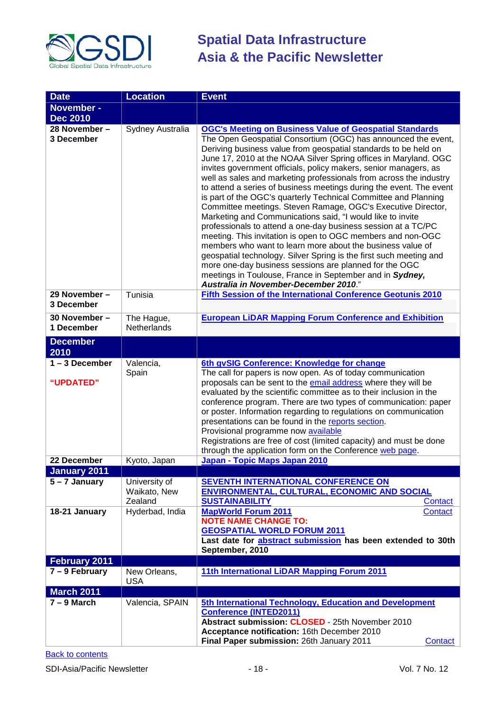

| <b>Date</b>                 | <b>Location</b>                          | <b>Event</b>                                                                                                                                                                                                                                                                                                                                                                                                                                                                                                                                                                                                                                                                                                                                                                                                                                                                                                                                                                                                                                              |
|-----------------------------|------------------------------------------|-----------------------------------------------------------------------------------------------------------------------------------------------------------------------------------------------------------------------------------------------------------------------------------------------------------------------------------------------------------------------------------------------------------------------------------------------------------------------------------------------------------------------------------------------------------------------------------------------------------------------------------------------------------------------------------------------------------------------------------------------------------------------------------------------------------------------------------------------------------------------------------------------------------------------------------------------------------------------------------------------------------------------------------------------------------|
| November -                  |                                          |                                                                                                                                                                                                                                                                                                                                                                                                                                                                                                                                                                                                                                                                                                                                                                                                                                                                                                                                                                                                                                                           |
| <b>Dec 2010</b>             |                                          |                                                                                                                                                                                                                                                                                                                                                                                                                                                                                                                                                                                                                                                                                                                                                                                                                                                                                                                                                                                                                                                           |
| 28 November -               | Sydney Australia                         | <b>OGC's Meeting on Business Value of Geospatial Standards</b>                                                                                                                                                                                                                                                                                                                                                                                                                                                                                                                                                                                                                                                                                                                                                                                                                                                                                                                                                                                            |
| 3 December                  |                                          | The Open Geospatial Consortium (OGC) has announced the event,<br>Deriving business value from geospatial standards to be held on<br>June 17, 2010 at the NOAA Silver Spring offices in Maryland. OGC<br>invites government officials, policy makers, senior managers, as<br>well as sales and marketing professionals from across the industry<br>to attend a series of business meetings during the event. The event<br>is part of the OGC's quarterly Technical Committee and Planning<br>Committee meetings. Steven Ramage, OGC's Executive Director,<br>Marketing and Communications said, "I would like to invite<br>professionals to attend a one-day business session at a TC/PC<br>meeting. This invitation is open to OGC members and non-OGC<br>members who want to learn more about the business value of<br>geospatial technology. Silver Spring is the first such meeting and<br>more one-day business sessions are planned for the OGC<br>meetings in Toulouse, France in September and in Sydney,<br>Australia in November-December 2010." |
| 29 November -<br>3 December | Tunisia                                  | Fifth Session of the International Conference Geotunis 2010                                                                                                                                                                                                                                                                                                                                                                                                                                                                                                                                                                                                                                                                                                                                                                                                                                                                                                                                                                                               |
| 30 November -               | The Hague,                               | <b>European LiDAR Mapping Forum Conference and Exhibition</b>                                                                                                                                                                                                                                                                                                                                                                                                                                                                                                                                                                                                                                                                                                                                                                                                                                                                                                                                                                                             |
| 1 December                  | Netherlands                              |                                                                                                                                                                                                                                                                                                                                                                                                                                                                                                                                                                                                                                                                                                                                                                                                                                                                                                                                                                                                                                                           |
| <b>December</b><br>2010     |                                          |                                                                                                                                                                                                                                                                                                                                                                                                                                                                                                                                                                                                                                                                                                                                                                                                                                                                                                                                                                                                                                                           |
| $1 - 3$ December            | Valencia,                                | 6th gvSIG Conference: Knowledge for change                                                                                                                                                                                                                                                                                                                                                                                                                                                                                                                                                                                                                                                                                                                                                                                                                                                                                                                                                                                                                |
| "UPDATED"                   | Spain                                    | The call for papers is now open. As of today communication<br>proposals can be sent to the email address where they will be<br>evaluated by the scientific committee as to their inclusion in the<br>conference program. There are two types of communication: paper<br>or poster. Information regarding to regulations on communication<br>presentations can be found in the reports section.<br>Provisional programme now available<br>Registrations are free of cost (limited capacity) and must be done<br>through the application form on the Conference web page.                                                                                                                                                                                                                                                                                                                                                                                                                                                                                   |
| 22 December                 | Kyoto, Japan                             | Japan - Topic Maps Japan 2010                                                                                                                                                                                                                                                                                                                                                                                                                                                                                                                                                                                                                                                                                                                                                                                                                                                                                                                                                                                                                             |
| January 2011                |                                          |                                                                                                                                                                                                                                                                                                                                                                                                                                                                                                                                                                                                                                                                                                                                                                                                                                                                                                                                                                                                                                                           |
| 5 - 7 January               | University of<br>Waikato, New<br>Zealand | SEVENTH INTERNATIONAL CONFERENCE ON<br><b>ENVIRONMENTAL, CULTURAL, ECONOMIC AND SOCIAL</b><br><b>SUSTAINABILITY</b><br>Contact                                                                                                                                                                                                                                                                                                                                                                                                                                                                                                                                                                                                                                                                                                                                                                                                                                                                                                                            |
| 18-21 January               | Hyderbad, India                          | <b>MapWorld Forum 2011</b><br>Contact<br><b>NOTE NAME CHANGE TO:</b><br><b>GEOSPATIAL WORLD FORUM 2011</b><br>Last date for abstract submission has been extended to 30th<br>September, 2010                                                                                                                                                                                                                                                                                                                                                                                                                                                                                                                                                                                                                                                                                                                                                                                                                                                              |
| <b>February 2011</b>        |                                          |                                                                                                                                                                                                                                                                                                                                                                                                                                                                                                                                                                                                                                                                                                                                                                                                                                                                                                                                                                                                                                                           |
| $7 - 9$ February            | New Orleans,<br><b>USA</b>               | 11th International LiDAR Mapping Forum 2011                                                                                                                                                                                                                                                                                                                                                                                                                                                                                                                                                                                                                                                                                                                                                                                                                                                                                                                                                                                                               |
| <b>March 2011</b>           |                                          |                                                                                                                                                                                                                                                                                                                                                                                                                                                                                                                                                                                                                                                                                                                                                                                                                                                                                                                                                                                                                                                           |
| $7 - 9$ March               | Valencia, SPAIN                          | 5th International Technology, Education and Development<br><b>Conference (INTED2011)</b><br>Abstract submission: CLOSED - 25th November 2010<br>Acceptance notification: 16th December 2010<br>Final Paper submission: 26th January 2011<br>Contact                                                                                                                                                                                                                                                                                                                                                                                                                                                                                                                                                                                                                                                                                                                                                                                                       |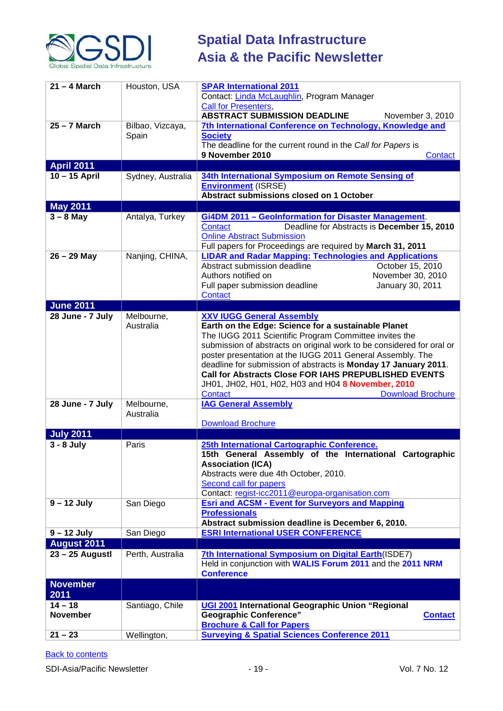

| $21 - 4$ March               | Houston, USA              | <b>SPAR International 2011</b><br>Contact: Linda McLaughlin, Program Manager                                                                                                                                                                                                                                                                                                                                                                                                                                      |
|------------------------------|---------------------------|-------------------------------------------------------------------------------------------------------------------------------------------------------------------------------------------------------------------------------------------------------------------------------------------------------------------------------------------------------------------------------------------------------------------------------------------------------------------------------------------------------------------|
|                              |                           | <b>Call for Presenters,</b><br><b>ABSTRACT SUBMISSION DEADLINE</b><br>November 3, 2010                                                                                                                                                                                                                                                                                                                                                                                                                            |
| $25 - 7$ March               | Bilbao, Vizcaya,<br>Spain | 7th International Conference on Technology, Knowledge and<br><b>Society</b><br>The deadline for the current round in the Call for Papers is<br>9 November 2010<br>Contact                                                                                                                                                                                                                                                                                                                                         |
| <b>April 2011</b>            |                           |                                                                                                                                                                                                                                                                                                                                                                                                                                                                                                                   |
| $10 - 15$ April              | Sydney, Australia         | 34th International Symposium on Remote Sensing of<br><b>Environment (ISRSE)</b><br>Abstract submissions closed on 1 October                                                                                                                                                                                                                                                                                                                                                                                       |
| <b>May 2011</b>              |                           |                                                                                                                                                                                                                                                                                                                                                                                                                                                                                                                   |
| $3 - 8$ May                  | Antalya, Turkey           | <b>Gi4DM 2011 - Geolnformation for Disaster Management.</b><br>Deadline for Abstracts is December 15, 2010<br><b>Contact</b><br><b>Online Abstract Submission</b><br>Full papers for Proceedings are required by March 31, 2011                                                                                                                                                                                                                                                                                   |
| $26 - 29$ May                | Nanjing, CHINA,           | <b>LIDAR and Radar Mapping: Technologies and Applications</b><br>Abstract submission deadline<br>October 15, 2010<br>Authors notified on<br>November 30, 2010<br>Full paper submission deadline<br>January 30, 2011<br><b>Contact</b>                                                                                                                                                                                                                                                                             |
| <b>June 2011</b>             |                           |                                                                                                                                                                                                                                                                                                                                                                                                                                                                                                                   |
| 28 June - 7 July             | Melbourne,<br>Australia   | <b>XXV IUGG General Assembly</b><br>Earth on the Edge: Science for a sustainable Planet<br>The IUGG 2011 Scientific Program Committee invites the<br>submission of abstracts on original work to be considered for oral or<br>poster presentation at the IUGG 2011 General Assembly. The<br>deadline for submission of abstracts is Monday 17 January 2011.<br>Call for Abstracts Close FOR IAHS PREPUBLISHED EVENTS<br>JH01, JH02, H01, H02, H03 and H04 8 November, 2010<br><b>Download Brochure</b><br>Contact |
| 28 June - 7 July             | Melbourne,<br>Australia   | <b>IAG General Assembly</b><br><b>Download Brochure</b>                                                                                                                                                                                                                                                                                                                                                                                                                                                           |
| <b>July 2011</b>             |                           |                                                                                                                                                                                                                                                                                                                                                                                                                                                                                                                   |
| $3 - 8$ July                 | Paris                     | 25th International Cartographic Conference.<br>15th General Assembly of the International Cartographic<br><b>Association (ICA)</b><br>Abstracts were due 4th October, 2010.<br>Second call for papers<br>Contact: regist-icc2011@europa-organisation.com                                                                                                                                                                                                                                                          |
| $9 - 12$ July                | San Diego                 | <b>Esri and ACSM - Event for Surveyors and Mapping</b><br><b>Professionals</b><br>Abstract submission deadline is December 6, 2010.                                                                                                                                                                                                                                                                                                                                                                               |
| $9 - 12$ July                | San Diego                 | <b>ESRI International USER CONFERENCE</b>                                                                                                                                                                                                                                                                                                                                                                                                                                                                         |
| <b>August 2011</b>           |                           |                                                                                                                                                                                                                                                                                                                                                                                                                                                                                                                   |
| $23 - 25$ Augustl            | Perth, Australia          | 7th International Symposium on Digital Earth (ISDE7)<br>Held in conjunction with WALIS Forum 2011 and the 2011 NRM<br><b>Conference</b>                                                                                                                                                                                                                                                                                                                                                                           |
| <b>November</b><br>2011      |                           |                                                                                                                                                                                                                                                                                                                                                                                                                                                                                                                   |
| $14 - 18$<br><b>November</b> | Santiago, Chile           | UGI 2001 International Geographic Union "Regional<br><b>Geographic Conference"</b><br><b>Contact</b><br><b>Brochure &amp; Call for Papers</b>                                                                                                                                                                                                                                                                                                                                                                     |
| $21 - 23$                    | Wellington,               | <b>Surveying &amp; Spatial Sciences Conference 2011</b>                                                                                                                                                                                                                                                                                                                                                                                                                                                           |